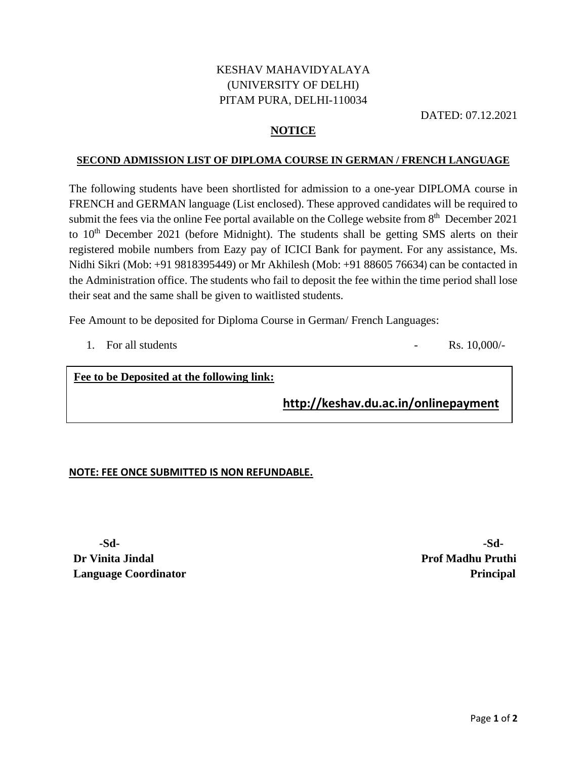## KESHAV MAHAVIDYALAYA (UNIVERSITY OF DELHI) PITAM PURA, DELHI-110034

DATED: 07.12.2021

### **NOTICE**

#### **SECOND ADMISSION LIST OF DIPLOMA COURSE IN GERMAN / FRENCH LANGUAGE**

The following students have been shortlisted for admission to a one-year DIPLOMA course in FRENCH and GERMAN language (List enclosed). These approved candidates will be required to submit the fees via the online Fee portal available on the College website from  $8<sup>th</sup>$  December 2021 to  $10<sup>th</sup>$  December 2021 (before Midnight). The students shall be getting SMS alerts on their registered mobile numbers from Eazy pay of ICICI Bank for payment. For any assistance, Ms. Nidhi Sikri (Mob: +91 9818395449) or Mr Akhilesh (Mob: +91 88605 76634) can be contacted in the Administration office. The students who fail to deposit the fee within the time period shall lose their seat and the same shall be given to waitlisted students.

Fee Amount to be deposited for Diploma Course in German/ French Languages:

1. For all students  $\qquad \qquad$  Rs. 10,000/-

**Fee to be Deposited at the following link:**

 **http://keshav.du.ac.in/onlinepayment**

#### **NOTE: FEE ONCE SUBMITTED IS NON REFUNDABLE.**

 **-Sd- -Sd-Dr Vinita Jindal Prof Madhu Pruthi Language Coordinator Principal**